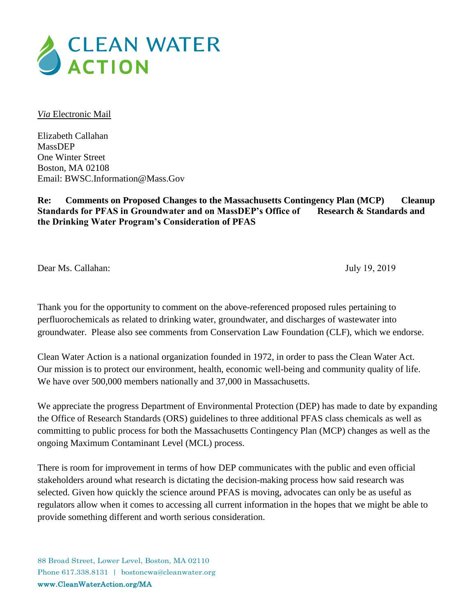

*Via* Electronic Mail

Elizabeth Callahan MassDEP One Winter Street Boston, MA 02108 Email: BWSC.Information@Mass.Gov

**Re: Comments on Proposed Changes to the Massachusetts Contingency Plan (MCP) Cleanup Standards for PFAS in Groundwater and on MassDEP's Office of Research & Standards and the Drinking Water Program's Consideration of PFAS** 

Dear Ms. Callahan: July 19, 2019

Thank you for the opportunity to comment on the above-referenced proposed rules pertaining to perfluorochemicals as related to drinking water, groundwater, and discharges of wastewater into groundwater. Please also see comments from Conservation Law Foundation (CLF), which we endorse.

Clean Water Action is a national organization founded in 1972, in order to pass the Clean Water Act. Our mission is to protect our environment, health, economic well-being and community quality of life. We have over 500,000 members nationally and 37,000 in Massachusetts.

We appreciate the progress Department of Environmental Protection (DEP) has made to date by expanding the Office of Research Standards (ORS) guidelines to three additional PFAS class chemicals as well as committing to public process for both the Massachusetts Contingency Plan (MCP) changes as well as the ongoing Maximum Contaminant Level (MCL) process.

There is room for improvement in terms of how DEP communicates with the public and even official stakeholders around what research is dictating the decision-making process how said research was selected. Given how quickly the science around PFAS is moving, advocates can only be as useful as regulators allow when it comes to accessing all current information in the hopes that we might be able to provide something different and worth serious consideration.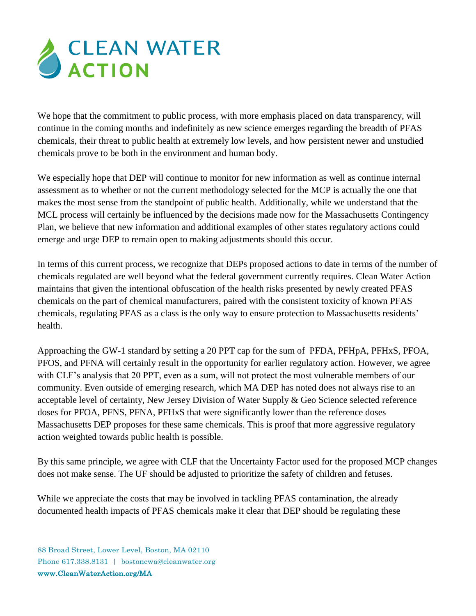

We hope that the commitment to public process, with more emphasis placed on data transparency, will continue in the coming months and indefinitely as new science emerges regarding the breadth of PFAS chemicals, their threat to public health at extremely low levels, and how persistent newer and unstudied chemicals prove to be both in the environment and human body.

We especially hope that DEP will continue to monitor for new information as well as continue internal assessment as to whether or not the current methodology selected for the MCP is actually the one that makes the most sense from the standpoint of public health. Additionally, while we understand that the MCL process will certainly be influenced by the decisions made now for the Massachusetts Contingency Plan, we believe that new information and additional examples of other states regulatory actions could emerge and urge DEP to remain open to making adjustments should this occur.

In terms of this current process, we recognize that DEPs proposed actions to date in terms of the number of chemicals regulated are well beyond what the federal government currently requires. Clean Water Action maintains that given the intentional obfuscation of the health risks presented by newly created PFAS chemicals on the part of chemical manufacturers, paired with the consistent toxicity of known PFAS chemicals, regulating PFAS as a class is the only way to ensure protection to Massachusetts residents' health.

Approaching the GW-1 standard by setting a 20 PPT cap for the sum of PFDA, PFHpA, PFHxS, PFOA, PFOS, and PFNA will certainly result in the opportunity for earlier regulatory action. However, we agree with CLF's analysis that 20 PPT, even as a sum, will not protect the most vulnerable members of our community. Even outside of emerging research, which MA DEP has noted does not always rise to an acceptable level of certainty, New Jersey Division of Water Supply & Geo Science selected reference doses for PFOA, PFNS, PFNA, PFHxS that were significantly lower than the reference doses Massachusetts DEP proposes for these same chemicals. This is proof that more aggressive regulatory action weighted towards public health is possible.

By this same principle, we agree with CLF that the Uncertainty Factor used for the proposed MCP changes does not make sense. The UF should be adjusted to prioritize the safety of children and fetuses.

While we appreciate the costs that may be involved in tackling PFAS contamination, the already documented health impacts of PFAS chemicals make it clear that DEP should be regulating these

88 Broad Street, Lower Level, Boston, MA 02110 Phone 617.338.8131 | bostoncwa@cleanwater.org www.CleanWaterAction.org/MA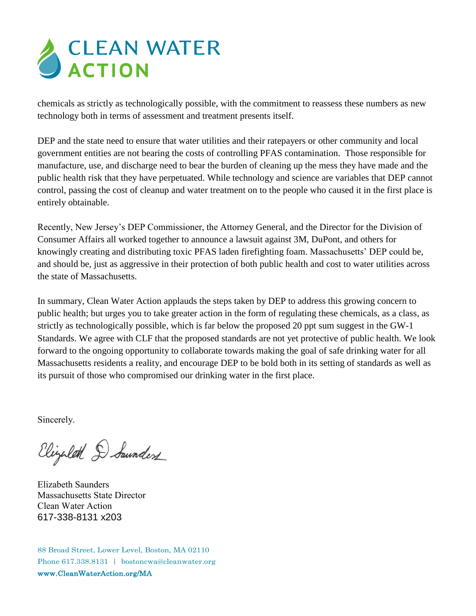## CLEAN WATER

chemicals as strictly as technologically possible, with the commitment to reassess these numbers as new technology both in terms of assessment and treatment presents itself.

DEP and the state need to ensure that water utilities and their ratepayers or other community and local government entities are not bearing the costs of controlling PFAS contamination. Those responsible for manufacture, use, and discharge need to bear the burden of cleaning up the mess they have made and the public health risk that they have perpetuated. While technology and science are variables that DEP cannot control, passing the cost of cleanup and water treatment on to the people who caused it in the first place is entirely obtainable.

Recently, New Jersey's DEP Commissioner, the Attorney General, and the Director for the Division of Consumer Affairs all worked together to announce a lawsuit against 3M, DuPont, and others for knowingly creating and distributing toxic PFAS laden firefighting foam. Massachusetts' DEP could be, and should be, just as aggressive in their protection of both public health and cost to water utilities across the state of Massachusetts.

In summary, Clean Water Action applauds the steps taken by DEP to address this growing concern to public health; but urges you to take greater action in the form of regulating these chemicals, as a class, as strictly as technologically possible, which is far below the proposed 20 ppt sum suggest in the GW-1 Standards. We agree with CLF that the proposed standards are not yet protective of public health. We look forward to the ongoing opportunity to collaborate towards making the goal of safe drinking water for all Massachusetts residents a reality, and encourage DEP to be bold both in its setting of standards as well as its pursuit of those who compromised our drinking water in the first place.

Sincerely.

Elizalet D Saunders

Elizabeth Saunders Massachusetts State Director Clean Water Action 617-338-8131 x203

88 Broad Street, Lower Level, Boston, MA 02110 Phone 617.338.8131 | bostoncwa@cleanwater.org www.CleanWaterAction.org/MA